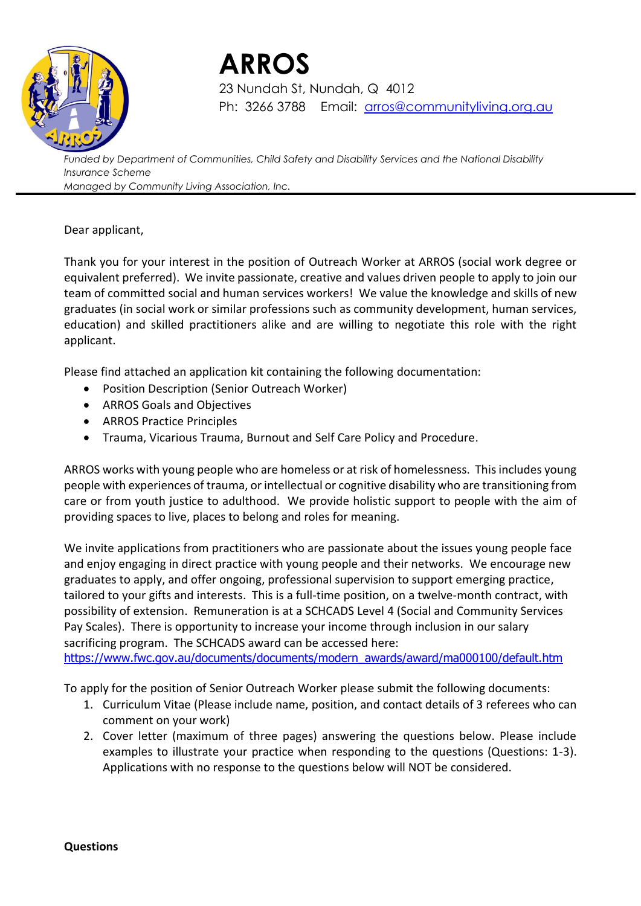

 **ARROS** 23 Nundah St, Nundah, Q 4012 Ph: 3266 3788 Email: [arros@communityliving.org.au](mailto:arros@communityliving.org.au)

*Funded by Department of Communities, Child Safety and Disability Services and the National Disability Insurance Scheme Managed by Community Living Association, Inc.*

#### Dear applicant,

Thank you for your interest in the position of Outreach Worker at ARROS (social work degree or equivalent preferred). We invite passionate, creative and values driven people to apply to join our team of committed social and human services workers! We value the knowledge and skills of new graduates (in social work or similar professions such as community development, human services, education) and skilled practitioners alike and are willing to negotiate this role with the right applicant.

Please find attached an application kit containing the following documentation:

- Position Description (Senior Outreach Worker)
- ARROS Goals and Objectives
- ARROS Practice Principles
- Trauma, Vicarious Trauma, Burnout and Self Care Policy and Procedure.

ARROS works with young people who are homeless or at risk of homelessness. This includes young people with experiences of trauma, or intellectual or cognitive disability who are transitioning from care or from youth justice to adulthood. We provide holistic support to people with the aim of providing spaces to live, places to belong and roles for meaning.

We invite applications from practitioners who are passionate about the issues young people face and enjoy engaging in direct practice with young people and their networks. We encourage new graduates to apply, and offer ongoing, professional supervision to support emerging practice, tailored to your gifts and interests. This is a full-time position, on a twelve-month contract, with possibility of extension. Remuneration is at a SCHCADS Level 4 (Social and Community Services Pay Scales). There is opportunity to increase your income through inclusion in our salary sacrificing program. The SCHCADS award can be accessed here:

[https://www.fwc.gov.au/documents/documents/modern\\_awards/award/ma000100/default.htm](https://www.fwc.gov.au/documents/documents/modern_awards/award/ma000100/default.htm)

To apply for the position of Senior Outreach Worker please submit the following documents:

- 1. Curriculum Vitae (Please include name, position, and contact details of 3 referees who can comment on your work)
- 2. Cover letter (maximum of three pages) answering the questions below. Please include examples to illustrate your practice when responding to the questions (Questions: 1-3). Applications with no response to the questions below will NOT be considered.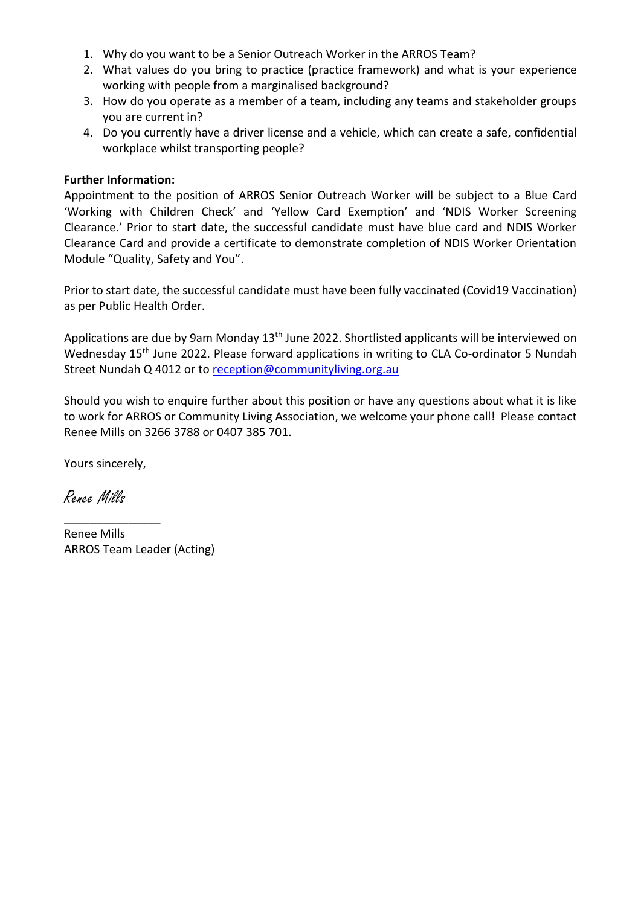- 1. Why do you want to be a Senior Outreach Worker in the ARROS Team?
- 2. What values do you bring to practice (practice framework) and what is your experience working with people from a marginalised background?
- 3. How do you operate as a member of a team, including any teams and stakeholder groups you are current in?
- 4. Do you currently have a driver license and a vehicle, which can create a safe, confidential workplace whilst transporting people?

#### **Further Information:**

Appointment to the position of ARROS Senior Outreach Worker will be subject to a Blue Card 'Working with Children Check' and 'Yellow Card Exemption' and 'NDIS Worker Screening Clearance.' Prior to start date, the successful candidate must have blue card and NDIS Worker Clearance Card and provide a certificate to demonstrate completion of NDIS Worker Orientation Module "Quality, Safety and You".

Prior to start date, the successful candidate must have been fully vaccinated (Covid19 Vaccination) as per Public Health Order.

Applications are due by 9am Monday 13<sup>th</sup> June 2022. Shortlisted applicants will be interviewed on Wednesday 15<sup>th</sup> June 2022. Please forward applications in writing to CLA Co-ordinator 5 Nundah Street Nundah Q 4012 or to [reception@communityliving.org.au](mailto:reception@communityliving.org.au)

Should you wish to enquire further about this position or have any questions about what it is like to work for ARROS or Community Living Association, we welcome your phone call! Please contact Renee Mills on 3266 3788 or 0407 385 701.

Yours sincerely,

\_\_\_\_\_\_\_\_\_\_\_\_\_\_\_

Renee Mills

Renee Mills ARROS Team Leader (Acting)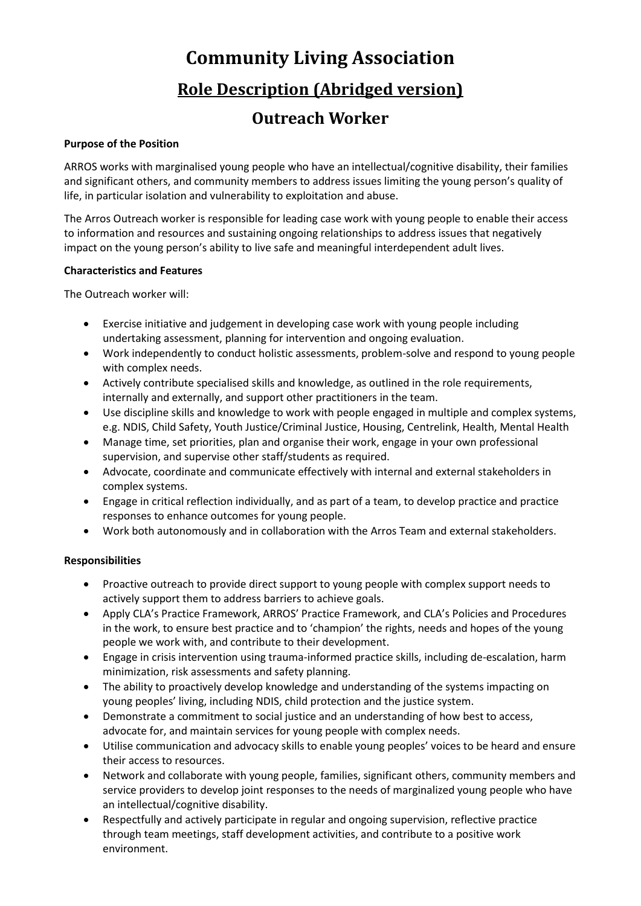# **Community Living Association Role Description (Abridged version)**

### **Outreach Worker**

#### **Purpose of the Position**

ARROS works with marginalised young people who have an intellectual/cognitive disability, their families and significant others, and community members to address issues limiting the young person's quality of life, in particular isolation and vulnerability to exploitation and abuse.

The Arros Outreach worker is responsible for leading case work with young people to enable their access to information and resources and sustaining ongoing relationships to address issues that negatively impact on the young person's ability to live safe and meaningful interdependent adult lives.

#### **Characteristics and Features**

The Outreach worker will:

- Exercise initiative and judgement in developing case work with young people including undertaking assessment, planning for intervention and ongoing evaluation.
- Work independently to conduct holistic assessments, problem-solve and respond to young people with complex needs.
- Actively contribute specialised skills and knowledge, as outlined in the role requirements, internally and externally, and support other practitioners in the team.
- Use discipline skills and knowledge to work with people engaged in multiple and complex systems, e.g. NDIS, Child Safety, Youth Justice/Criminal Justice, Housing, Centrelink, Health, Mental Health
- Manage time, set priorities, plan and organise their work, engage in your own professional supervision, and supervise other staff/students as required.
- Advocate, coordinate and communicate effectively with internal and external stakeholders in complex systems.
- Engage in critical reflection individually, and as part of a team, to develop practice and practice responses to enhance outcomes for young people.
- Work both autonomously and in collaboration with the Arros Team and external stakeholders.

#### **Responsibilities**

- Proactive outreach to provide direct support to young people with complex support needs to actively support them to address barriers to achieve goals.
- Apply CLA's Practice Framework, ARROS' Practice Framework, and CLA's Policies and Procedures in the work, to ensure best practice and to 'champion' the rights, needs and hopes of the young people we work with, and contribute to their development.
- Engage in crisis intervention using trauma-informed practice skills, including de-escalation, harm minimization, risk assessments and safety planning.
- The ability to proactively develop knowledge and understanding of the systems impacting on young peoples' living, including NDIS, child protection and the justice system.
- Demonstrate a commitment to social justice and an understanding of how best to access, advocate for, and maintain services for young people with complex needs.
- Utilise communication and advocacy skills to enable young peoples' voices to be heard and ensure their access to resources.
- Network and collaborate with young people, families, significant others, community members and service providers to develop joint responses to the needs of marginalized young people who have an intellectual/cognitive disability.
- Respectfully and actively participate in regular and ongoing supervision, reflective practice through team meetings, staff development activities, and contribute to a positive work environment.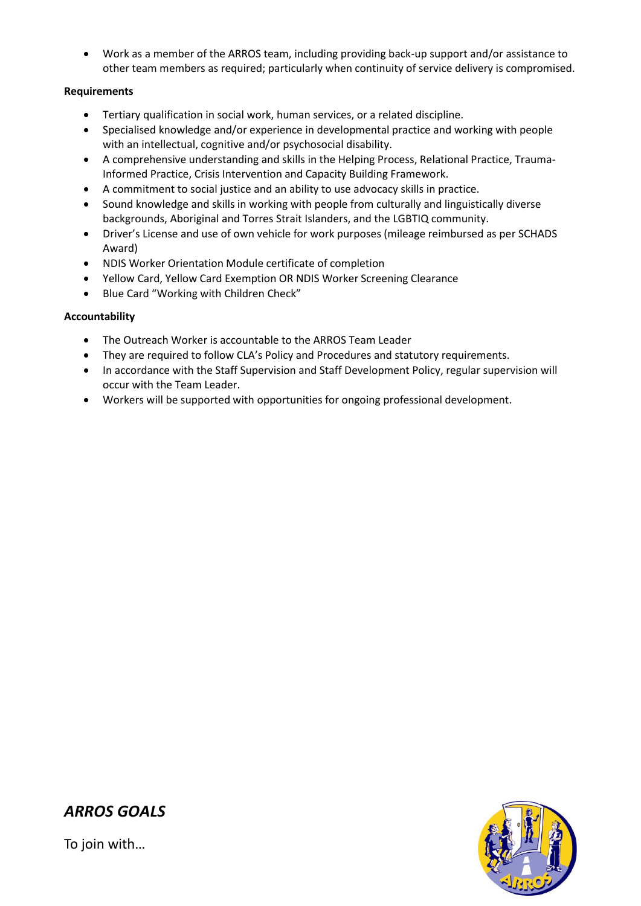• Work as a member of the ARROS team, including providing back-up support and/or assistance to other team members as required; particularly when continuity of service delivery is compromised.

#### **Requirements**

- Tertiary qualification in social work, human services, or a related discipline.
- Specialised knowledge and/or experience in developmental practice and working with people with an intellectual, cognitive and/or psychosocial disability.
- A comprehensive understanding and skills in the Helping Process, Relational Practice, Trauma-Informed Practice, Crisis Intervention and Capacity Building Framework.
- A commitment to social justice and an ability to use advocacy skills in practice.
- Sound knowledge and skills in working with people from culturally and linguistically diverse backgrounds, Aboriginal and Torres Strait Islanders, and the LGBTIQ community.
- Driver's License and use of own vehicle for work purposes (mileage reimbursed as per SCHADS Award)
- NDIS Worker Orientation Module certificate of completion
- Yellow Card, Yellow Card Exemption OR NDIS Worker Screening Clearance
- Blue Card "Working with Children Check"

#### **Accountability**

- The Outreach Worker is accountable to the ARROS Team Leader
- They are required to follow CLA's Policy and Procedures and statutory requirements.
- In accordance with the Staff Supervision and Staff Development Policy, regular supervision will occur with the Team Leader.
- Workers will be supported with opportunities for ongoing professional development.



### *ARROS GOALS*

To join with…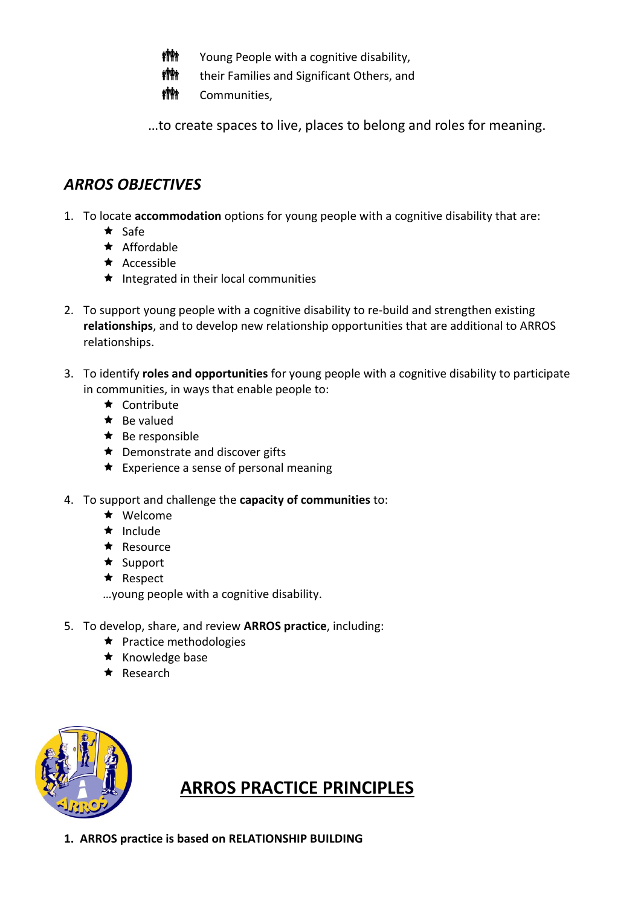- **槽轴** Young People with a cognitive disability,
- $\parallel$  **#** their Families and Significant Others, and
- **槽轴** Communities,

…to create spaces to live, places to belong and roles for meaning.

## *ARROS OBJECTIVES*

1. To locate **accommodation** options for young people with a cognitive disability that are:

- $\star$  Safe
- $\star$  Affordable
- $\star$  Accessible
- $\star$  Integrated in their local communities
- 2. To support young people with a cognitive disability to re-build and strengthen existing **relationships**, and to develop new relationship opportunities that are additional to ARROS relationships.
- 3. To identify **roles and opportunities** for young people with a cognitive disability to participate in communities, in ways that enable people to:
	- $\star$  Contribute
	- $\star$  Be valued
	- $\star$  Be responsible
	- $\star$  Demonstrate and discover gifts
	- $\star$  Experience a sense of personal meaning
- 4. To support and challenge the **capacity of communities** to:
	- \* Welcome
	- $\star$  Include
	- $\star$  Resource
	- $\star$  Support
	- $\star$  Respect

…young people with a cognitive disability.

- 5. To develop, share, and review **ARROS practice**, including:
	- $\star$  Practice methodologies
	- $\star$  Knowledge base
	- \* Research



## **ARROS PRACTICE PRINCIPLES**

**1. ARROS practice is based on RELATIONSHIP BUILDING**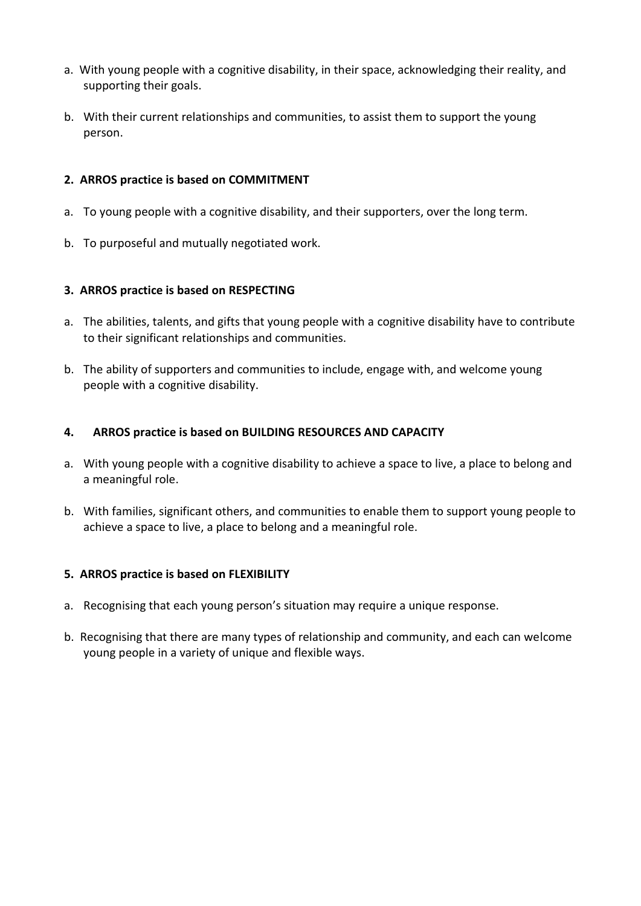- a. With young people with a cognitive disability, in their space, acknowledging their reality, and supporting their goals.
- b. With their current relationships and communities, to assist them to support the young person.

#### **2. ARROS practice is based on COMMITMENT**

- a. To young people with a cognitive disability, and their supporters, over the long term.
- b. To purposeful and mutually negotiated work.

#### **3. ARROS practice is based on RESPECTING**

- a. The abilities, talents, and gifts that young people with a cognitive disability have to contribute to their significant relationships and communities.
- b. The ability of supporters and communities to include, engage with, and welcome young people with a cognitive disability.

#### **4. ARROS practice is based on BUILDING RESOURCES AND CAPACITY**

- a. With young people with a cognitive disability to achieve a space to live, a place to belong and a meaningful role.
- b. With families, significant others, and communities to enable them to support young people to achieve a space to live, a place to belong and a meaningful role.

#### **5. ARROS practice is based on FLEXIBILITY**

- a. Recognising that each young person's situation may require a unique response.
- b. Recognising that there are many types of relationship and community, and each can welcome young people in a variety of unique and flexible ways.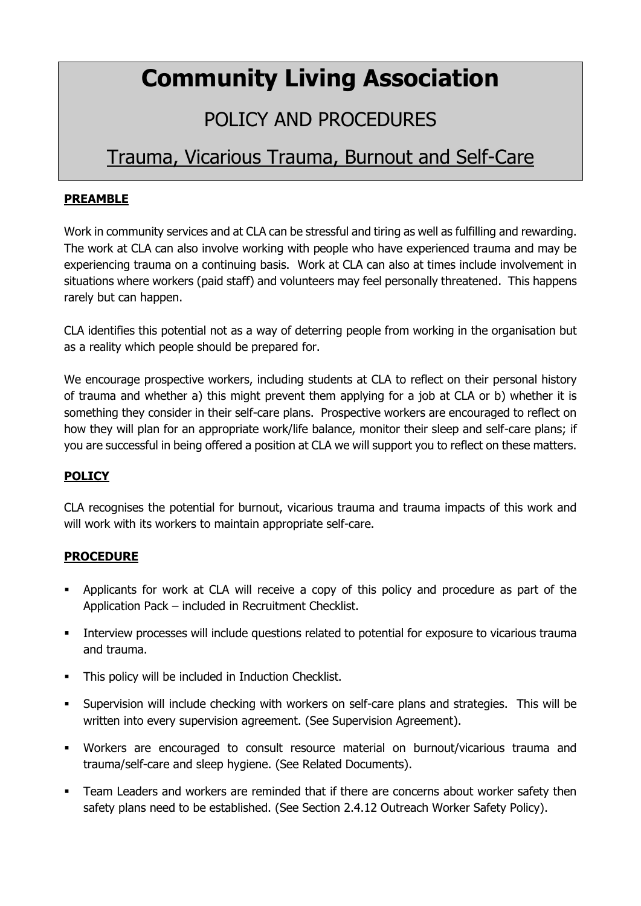# **Community Living Association**

# POLICY AND PROCEDURES

## Trauma, Vicarious Trauma, Burnout and Self-Care

#### **PREAMBLE**

Work in community services and at CLA can be stressful and tiring as well as fulfilling and rewarding. The work at CLA can also involve working with people who have experienced trauma and may be experiencing trauma on a continuing basis. Work at CLA can also at times include involvement in situations where workers (paid staff) and volunteers may feel personally threatened. This happens rarely but can happen.

CLA identifies this potential not as a way of deterring people from working in the organisation but as a reality which people should be prepared for.

We encourage prospective workers, including students at CLA to reflect on their personal history of trauma and whether a) this might prevent them applying for a job at CLA or b) whether it is something they consider in their self-care plans. Prospective workers are encouraged to reflect on how they will plan for an appropriate work/life balance, monitor their sleep and self-care plans; if you are successful in being offered a position at CLA we will support you to reflect on these matters.

#### **POLICY**

CLA recognises the potential for burnout, vicarious trauma and trauma impacts of this work and will work with its workers to maintain appropriate self-care.

#### **PROCEDURE**

- Applicants for work at CLA will receive a copy of this policy and procedure as part of the Application Pack – included in Recruitment Checklist.
- **•** Interview processes will include questions related to potential for exposure to vicarious trauma and trauma.
- This policy will be included in Induction Checklist.
- Supervision will include checking with workers on self-care plans and strategies. This will be written into every supervision agreement. (See Supervision Agreement).
- Workers are encouraged to consult resource material on burnout/vicarious trauma and trauma/self-care and sleep hygiene. (See Related Documents).
- **•** Team Leaders and workers are reminded that if there are concerns about worker safety then safety plans need to be established. (See Section 2.4.12 Outreach Worker Safety Policy).